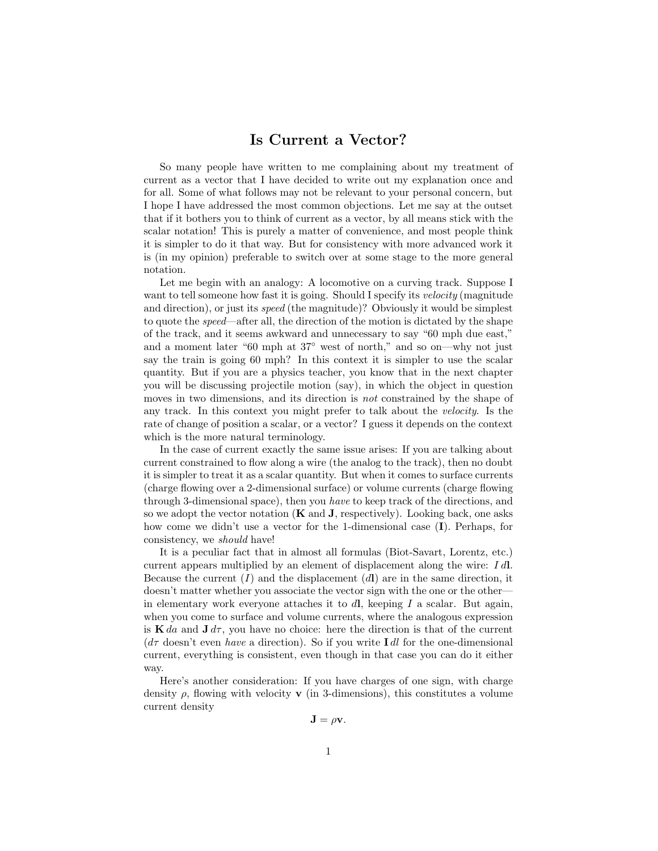## Is Current a Vector?

So many people have written to me complaining about my treatment of current as a vector that I have decided to write out my explanation once and for all. Some of what follows may not be relevant to your personal concern, but I hope I have addressed the most common objections. Let me say at the outset that if it bothers you to think of current as a vector, by all means stick with the scalar notation! This is purely a matter of convenience, and most people think it is simpler to do it that way. But for consistency with more advanced work it is (in my opinion) preferable to switch over at some stage to the more general notation.

Let me begin with an analogy: A locomotive on a curving track. Suppose I want to tell someone how fast it is going. Should I specify its *velocity* (magnitude and direction), or just its speed (the magnitude)? Obviously it would be simplest to quote the speed—after all, the direction of the motion is dictated by the shape of the track, and it seems awkward and unnecessary to say "60 mph due east," and a moment later "60 mph at 37◦ west of north," and so on—why not just say the train is going 60 mph? In this context it is simpler to use the scalar quantity. But if you are a physics teacher, you know that in the next chapter you will be discussing projectile motion (say), in which the object in question moves in two dimensions, and its direction is *not* constrained by the shape of any track. In this context you might prefer to talk about the velocity. Is the rate of change of position a scalar, or a vector? I guess it depends on the context which is the more natural terminology.

In the case of current exactly the same issue arises: If you are talking about current constrained to flow along a wire (the analog to the track), then no doubt it is simpler to treat it as a scalar quantity. But when it comes to surface currents (charge flowing over a 2-dimensional surface) or volume currents (charge flowing through 3-dimensional space), then you have to keep track of the directions, and so we adopt the vector notation  $(K \text{ and } J)$ , respectively). Looking back, one asks how come we didn't use a vector for the 1-dimensional case (I). Perhaps, for consistency, we should have!

It is a peculiar fact that in almost all formulas (Biot-Savart, Lorentz, etc.) current appears multiplied by an element of displacement along the wire:  $I d$ . Because the current  $(I)$  and the displacement  $(d)$  are in the same direction, it doesn't matter whether you associate the vector sign with the one or the other in elementary work everyone attaches it to  $d\mathbf{l}$ , keeping I a scalar. But again, when you come to surface and volume currents, where the analogous expression is K da and  $J d\tau$ , you have no choice: here the direction is that of the current  $(d\tau \text{ doesn't even } have \text{ a direction}).$  So if you write I dl for the one-dimensional current, everything is consistent, even though in that case you can do it either way.

Here's another consideration: If you have charges of one sign, with charge density  $\rho$ , flowing with velocity **v** (in 3-dimensions), this constitutes a volume current density

 $\mathbf{J} = \rho \mathbf{v}$ .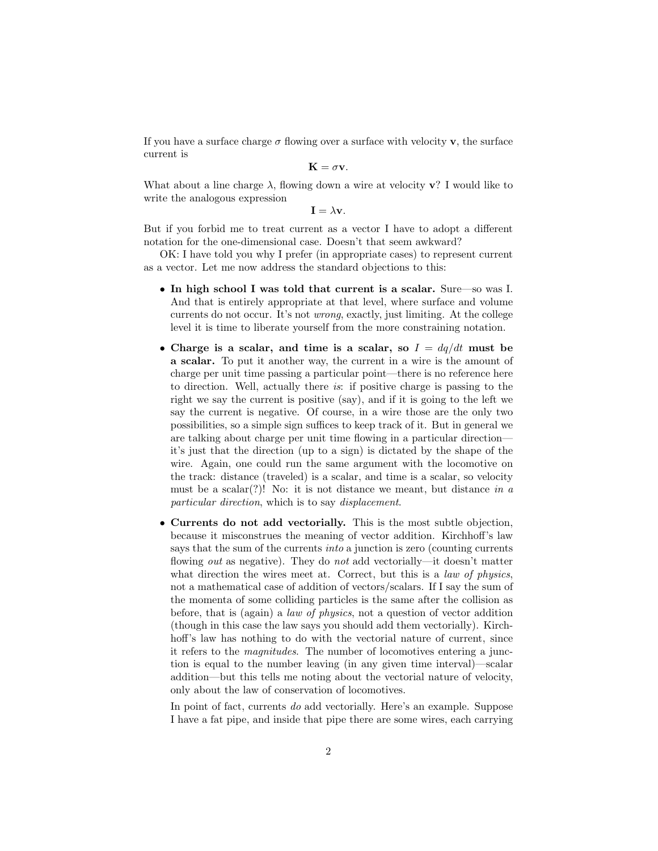If you have a surface charge  $\sigma$  flowing over a surface with velocity **v**, the surface current is

$$
\mathbf{K}=\sigma\mathbf{v}.
$$

What about a line charge  $\lambda$ , flowing down a wire at velocity **v**? I would like to write the analogous expression

 $\mathbf{I} = \lambda \mathbf{v}$ .

But if you forbid me to treat current as a vector I have to adopt a different notation for the one-dimensional case. Doesn't that seem awkward?

OK: I have told you why I prefer (in appropriate cases) to represent current as a vector. Let me now address the standard objections to this:

- In high school I was told that current is a scalar. Sure—so was I. And that is entirely appropriate at that level, where surface and volume currents do not occur. It's not wrong, exactly, just limiting. At the college level it is time to liberate yourself from the more constraining notation.
- Charge is a scalar, and time is a scalar, so  $I = dq/dt$  must be a scalar. To put it another way, the current in a wire is the amount of charge per unit time passing a particular point—there is no reference here to direction. Well, actually there is: if positive charge is passing to the right we say the current is positive (say), and if it is going to the left we say the current is negative. Of course, in a wire those are the only two possibilities, so a simple sign suffices to keep track of it. But in general we are talking about charge per unit time flowing in a particular direction it's just that the direction (up to a sign) is dictated by the shape of the wire. Again, one could run the same argument with the locomotive on the track: distance (traveled) is a scalar, and time is a scalar, so velocity must be a scalar(?)! No: it is not distance we meant, but distance in  $a$ particular direction, which is to say displacement.
- Currents do not add vectorially. This is the most subtle objection, because it misconstrues the meaning of vector addition. Kirchhoff's law says that the sum of the currents *into* a junction is zero (counting currents flowing *out* as negative). They do *not* add vectorially—it doesn't matter what direction the wires meet at. Correct, but this is a *law of physics*, not a mathematical case of addition of vectors/scalars. If I say the sum of the momenta of some colliding particles is the same after the collision as before, that is (again) a law of physics, not a question of vector addition (though in this case the law says you should add them vectorially). Kirchhoff's law has nothing to do with the vectorial nature of current, since it refers to the magnitudes. The number of locomotives entering a junction is equal to the number leaving (in any given time interval)—scalar addition—but this tells me noting about the vectorial nature of velocity, only about the law of conservation of locomotives.

In point of fact, currents do add vectorially. Here's an example. Suppose I have a fat pipe, and inside that pipe there are some wires, each carrying